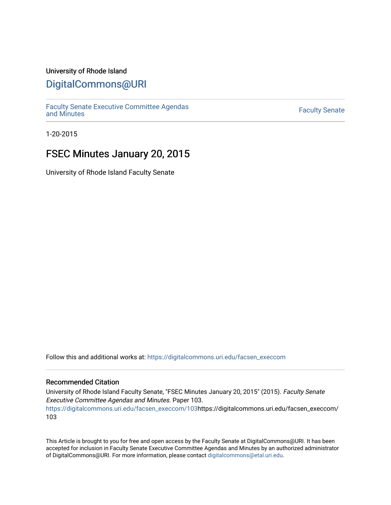## University of Rhode Island

## [DigitalCommons@URI](https://digitalcommons.uri.edu/)

[Faculty Senate Executive Committee Agendas](https://digitalcommons.uri.edu/facsen_execcom)  [and Minutes](https://digitalcommons.uri.edu/facsen_execcom) [Faculty Senate](https://digitalcommons.uri.edu/facsen) 

1-20-2015

# FSEC Minutes January 20, 2015

University of Rhode Island Faculty Senate

Follow this and additional works at: [https://digitalcommons.uri.edu/facsen\\_execcom](https://digitalcommons.uri.edu/facsen_execcom?utm_source=digitalcommons.uri.edu%2Ffacsen_execcom%2F103&utm_medium=PDF&utm_campaign=PDFCoverPages) 

### Recommended Citation

University of Rhode Island Faculty Senate, "FSEC Minutes January 20, 2015" (2015). Faculty Senate Executive Committee Agendas and Minutes. Paper 103.

[https://digitalcommons.uri.edu/facsen\\_execcom/103h](https://digitalcommons.uri.edu/facsen_execcom/103?utm_source=digitalcommons.uri.edu%2Ffacsen_execcom%2F103&utm_medium=PDF&utm_campaign=PDFCoverPages)ttps://digitalcommons.uri.edu/facsen\_execcom/ 103

This Article is brought to you for free and open access by the Faculty Senate at DigitalCommons@URI. It has been accepted for inclusion in Faculty Senate Executive Committee Agendas and Minutes by an authorized administrator of DigitalCommons@URI. For more information, please contact [digitalcommons@etal.uri.edu](mailto:digitalcommons@etal.uri.edu).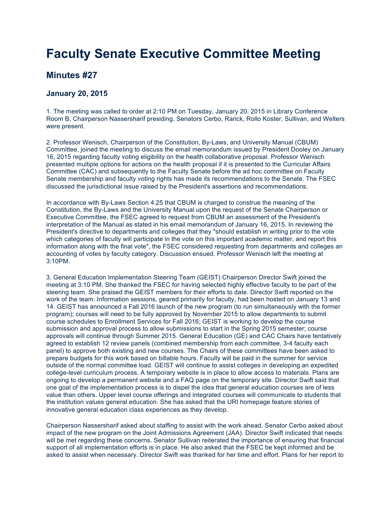# **Faculty Senate Executive Committee Meeting**

## **Minutes #27**

## **January 20, 2015**

1. The meeting was called to order at 2:10 PM on Tuesday, January 20, 2015 in Library Conference Room B, Chairperson Nassersharif presiding. Senators Cerbo, Rarick, Rollo Koster, Sullivan, and Welters were present.

2. Professor Wenisch, Chairperson of the Constitution, By-Laws, and University Manual (CBUM) Committee, joined the meeting to discuss the email memorandum issued by President Dooley on January 16, 2015 regarding faculty voting eligibility on the health collaborative proposal. Professor Wenisch presented multiple options for actions on the health proposal if it is presented to the Curricular Affairs Committee (CAC) and subsequently to the Faculty Senate before the ad hoc committee on Faculty Senate membership and faculty voting rights has made its recommendations to the Senate. The FSEC discussed the jurisdictional issue raised by the President's assertions and recommendations.

In accordance with By-Laws Section 4.25 that CBUM is charged to construe the meaning of the Constitution, the By-Laws and the University Manual upon the request of the Senate Chairperson or Executive Committee, the FSEC agreed to request from CBUM an assessment of the President's interpretation of the Manual as stated in his email memorandum of January 16, 2015. In reviewing the President's directive to departments and colleges that they "should establish in writing prior to the vote which categories of faculty will participate in the vote on this important academic matter, and report this information along with the final vote", the FSEC considered requesting from departments and colleges an accounting of votes by faculty category. Discussion ensued. Professor Wenisch left the meeting at 3:10PM.

3. General Education Implementation Steering Team (GEIST) Chairperson Director Swift joined the meeting at 3:10 PM. She thanked the FSEC for having selected highly effective faculty to be part of the steering team. She praised the GEIST members for their efforts to date. Director Swift reported on the work of the team. Information sessions, geared primarily for faculty, had been hosted on January 13 and 14. GEIST has announced a Fall 2016 launch of the new program (to run simultaneously with the former program); courses will need to be fully approved by November 2015 to allow departments to submit course schedules to Enrollment Services for Fall 2016; GEIST is working to develop the course submission and approval process to allow submissions to start in the Spring 2015 semester; course approvals will continue through Summer 2015. General Education (GE) and CAC Chairs have tentatively agreed to establish 12 review panels (combined membership from each committee, 3-4 faculty each panel) to approve both existing and new courses. The Chairs of these committees have been asked to prepare budgets for this work based on billable hours. Faculty will be paid in the summer for service outside of the normal committee load. GEIST will continue to assist colleges in developing an expedited college-level curriculum process. A temporary website is in place to allow access to materials. Plans are ongoing to develop a permanent website and a FAQ page on the temporary site. Director Swift said that one goal of the implementation process is to dispel the idea that general education courses are of less value than others. Upper level course offerings and integrated courses will communicate to students that the institution values general education. She has asked that the URI homepage feature stories of innovative general education class experiences as they develop.

Chairperson Nassersharif asked about staffing to assist with the work ahead. Senator Cerbo asked about impact of the new program on the Joint Admissions Agreement (JAA). Director Swift indicated that needs will be met regarding these concerns. Senator Sullivan reiterated the importance of ensuring that financial support of all implementation efforts is in place. He also asked that the FSEC be kept informed and be asked to assist when necessary. Director Swift was thanked for her time and effort. Plans for her report to